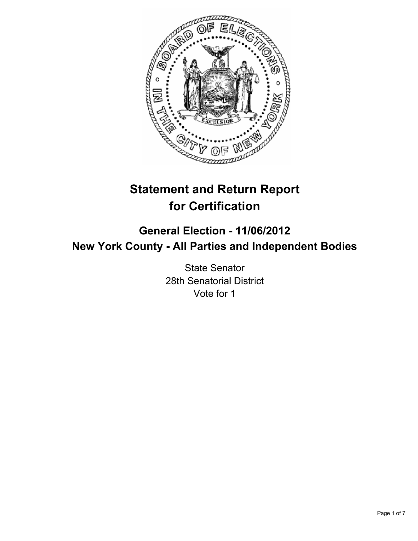

# **Statement and Return Report for Certification**

# **General Election - 11/06/2012 New York County - All Parties and Independent Bodies**

State Senator 28th Senatorial District Vote for 1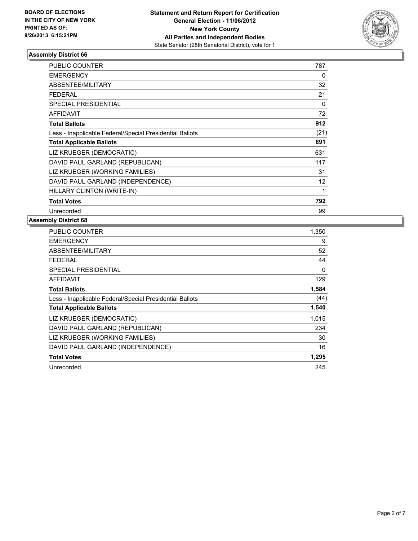

| <b>PUBLIC COUNTER</b>                                    | 787      |
|----------------------------------------------------------|----------|
| <b>EMERGENCY</b>                                         | 0        |
| <b>ABSENTEE/MILITARY</b>                                 | 32       |
| <b>FEDERAL</b>                                           | 21       |
| <b>SPECIAL PRESIDENTIAL</b>                              | $\Omega$ |
| <b>AFFIDAVIT</b>                                         | 72       |
| <b>Total Ballots</b>                                     | 912      |
| Less - Inapplicable Federal/Special Presidential Ballots | (21)     |
| <b>Total Applicable Ballots</b>                          | 891      |
| LIZ KRUEGER (DEMOCRATIC)                                 | 631      |
| DAVID PAUL GARLAND (REPUBLICAN)                          | 117      |
| LIZ KRUEGER (WORKING FAMILIES)                           | 31       |
| DAVID PAUL GARLAND (INDEPENDENCE)                        | 12       |
| HILLARY CLINTON (WRITE-IN)                               | 1        |
| <b>Total Votes</b>                                       | 792      |
| Unrecorded                                               | 99       |

| <b>PUBLIC COUNTER</b>                                    | 1,350 |
|----------------------------------------------------------|-------|
| <b>EMERGENCY</b>                                         | 9     |
| ABSENTEE/MILITARY                                        | 52    |
| FEDERAL                                                  | 44    |
| SPECIAL PRESIDENTIAL                                     | 0     |
| <b>AFFIDAVIT</b>                                         | 129   |
| <b>Total Ballots</b>                                     | 1,584 |
| Less - Inapplicable Federal/Special Presidential Ballots | (44)  |
| <b>Total Applicable Ballots</b>                          | 1,540 |
| LIZ KRUEGER (DEMOCRATIC)                                 | 1,015 |
| DAVID PAUL GARLAND (REPUBLICAN)                          | 234   |
| LIZ KRUEGER (WORKING FAMILIES)                           | 30    |
| DAVID PAUL GARLAND (INDEPENDENCE)                        | 16    |
| <b>Total Votes</b>                                       | 1,295 |
| Unrecorded                                               | 245   |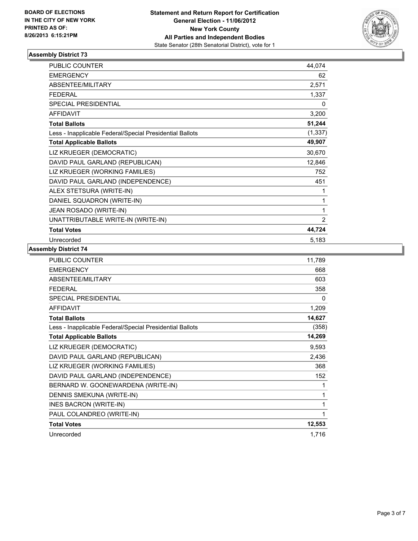

| <b>PUBLIC COUNTER</b>                                    | 44,074         |
|----------------------------------------------------------|----------------|
| <b>EMERGENCY</b>                                         | 62             |
| <b>ABSENTEE/MILITARY</b>                                 | 2,571          |
| <b>FEDERAL</b>                                           | 1,337          |
| <b>SPECIAL PRESIDENTIAL</b>                              | 0              |
| <b>AFFIDAVIT</b>                                         | 3,200          |
| <b>Total Ballots</b>                                     | 51,244         |
| Less - Inapplicable Federal/Special Presidential Ballots | (1, 337)       |
| <b>Total Applicable Ballots</b>                          | 49,907         |
| LIZ KRUEGER (DEMOCRATIC)                                 | 30,670         |
| DAVID PAUL GARLAND (REPUBLICAN)                          | 12,846         |
| LIZ KRUEGER (WORKING FAMILIES)                           | 752            |
| DAVID PAUL GARLAND (INDEPENDENCE)                        | 451            |
| ALEX STETSURA (WRITE-IN)                                 | 1              |
| DANIEL SQUADRON (WRITE-IN)                               | 1              |
| JEAN ROSADO (WRITE-IN)                                   | 1              |
| UNATTRIBUTABLE WRITE-IN (WRITE-IN)                       | $\overline{2}$ |
| <b>Total Votes</b>                                       | 44,724         |
| Unrecorded                                               | 5,183          |

| <b>PUBLIC COUNTER</b>                                    | 11,789 |
|----------------------------------------------------------|--------|
| <b>EMERGENCY</b>                                         | 668    |
| ABSENTEE/MILITARY                                        | 603    |
| <b>FEDERAL</b>                                           | 358    |
| <b>SPECIAL PRESIDENTIAL</b>                              | 0      |
| <b>AFFIDAVIT</b>                                         | 1,209  |
| <b>Total Ballots</b>                                     | 14,627 |
| Less - Inapplicable Federal/Special Presidential Ballots | (358)  |
| <b>Total Applicable Ballots</b>                          | 14,269 |
| LIZ KRUEGER (DEMOCRATIC)                                 | 9,593  |
| DAVID PAUL GARLAND (REPUBLICAN)                          | 2,436  |
| LIZ KRUEGER (WORKING FAMILIES)                           | 368    |
| DAVID PAUL GARLAND (INDEPENDENCE)                        | 152    |
| BERNARD W. GOONEWARDENA (WRITE-IN)                       | 1      |
| DENNIS SMEKUNA (WRITE-IN)                                | 1      |
| INES BACRON (WRITE-IN)                                   | 1      |
| PAUL COLANDREO (WRITE-IN)                                | 1      |
| <b>Total Votes</b>                                       | 12,553 |
| Unrecorded                                               | 1,716  |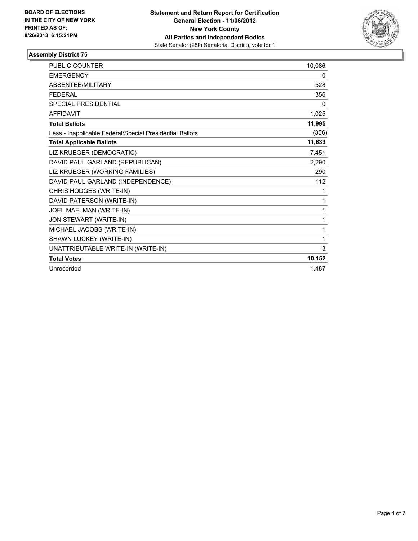

| <b>PUBLIC COUNTER</b>                                    | 10,086 |
|----------------------------------------------------------|--------|
| <b>EMERGENCY</b>                                         | 0      |
| <b>ABSENTEE/MILITARY</b>                                 | 528    |
| <b>FEDERAL</b>                                           | 356    |
| <b>SPECIAL PRESIDENTIAL</b>                              | 0      |
| <b>AFFIDAVIT</b>                                         | 1,025  |
| <b>Total Ballots</b>                                     | 11,995 |
| Less - Inapplicable Federal/Special Presidential Ballots | (356)  |
| <b>Total Applicable Ballots</b>                          | 11,639 |
| LIZ KRUEGER (DEMOCRATIC)                                 | 7,451  |
| DAVID PAUL GARLAND (REPUBLICAN)                          | 2,290  |
| LIZ KRUEGER (WORKING FAMILIES)                           | 290    |
| DAVID PAUL GARLAND (INDEPENDENCE)                        | 112    |
| CHRIS HODGES (WRITE-IN)                                  | 1      |
| DAVID PATERSON (WRITE-IN)                                | 1      |
| JOEL MAELMAN (WRITE-IN)                                  | 1      |
| JON STEWART (WRITE-IN)                                   | 1      |
| MICHAEL JACOBS (WRITE-IN)                                | 1      |
| SHAWN LUCKEY (WRITE-IN)                                  | 1      |
| UNATTRIBUTABLE WRITE-IN (WRITE-IN)                       | 3      |
| <b>Total Votes</b>                                       | 10,152 |
| Unrecorded                                               | 1,487  |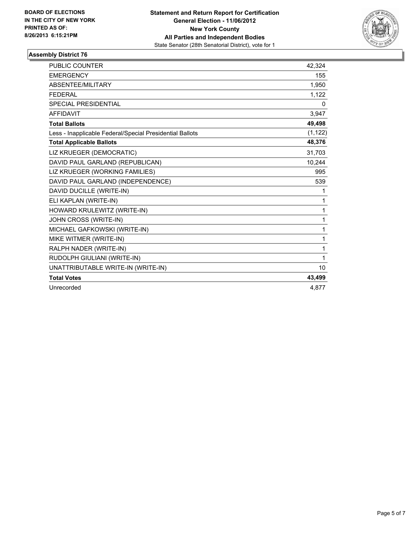

| PUBLIC COUNTER                                           | 42,324   |
|----------------------------------------------------------|----------|
| <b>EMERGENCY</b>                                         | 155      |
| ABSENTEE/MILITARY                                        | 1,950    |
| <b>FEDERAL</b>                                           | 1,122    |
| <b>SPECIAL PRESIDENTIAL</b>                              | 0        |
| <b>AFFIDAVIT</b>                                         | 3,947    |
| <b>Total Ballots</b>                                     | 49,498   |
| Less - Inapplicable Federal/Special Presidential Ballots | (1, 122) |
| <b>Total Applicable Ballots</b>                          | 48,376   |
| LIZ KRUEGER (DEMOCRATIC)                                 | 31,703   |
| DAVID PAUL GARLAND (REPUBLICAN)                          | 10,244   |
| LIZ KRUEGER (WORKING FAMILIES)                           | 995      |
| DAVID PAUL GARLAND (INDEPENDENCE)                        | 539      |
| DAVID DUCILLE (WRITE-IN)                                 | 1        |
| ELI KAPLAN (WRITE-IN)                                    | 1        |
| HOWARD KRULEWITZ (WRITE-IN)                              | 1        |
| JOHN CROSS (WRITE-IN)                                    | 1        |
| MICHAEL GAFKOWSKI (WRITE-IN)                             | 1        |
| MIKE WITMER (WRITE-IN)                                   | 1        |
| RALPH NADER (WRITE-IN)                                   | 1        |
| RUDOLPH GIULIANI (WRITE-IN)                              | 1        |
| UNATTRIBUTABLE WRITE-IN (WRITE-IN)                       | 10       |
| <b>Total Votes</b>                                       | 43,499   |
| Unrecorded                                               | 4.877    |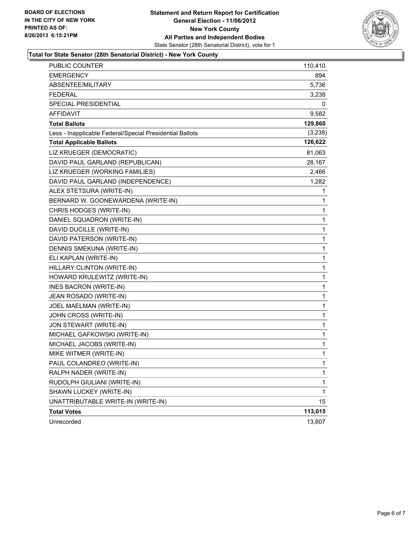

#### **Total for State Senator (28th Senatorial District) - New York County**

| PUBLIC COUNTER                                           | 110,410 |
|----------------------------------------------------------|---------|
| <b>EMERGENCY</b>                                         | 894     |
| ABSENTEE/MILITARY                                        | 5,736   |
| <b>FEDERAL</b>                                           | 3,238   |
| <b>SPECIAL PRESIDENTIAL</b>                              | 0       |
| <b>AFFIDAVIT</b>                                         | 9,582   |
| <b>Total Ballots</b>                                     | 129,860 |
| Less - Inapplicable Federal/Special Presidential Ballots | (3,238) |
| <b>Total Applicable Ballots</b>                          | 126,622 |
| LIZ KRUEGER (DEMOCRATIC)                                 | 81,063  |
| DAVID PAUL GARLAND (REPUBLICAN)                          | 28,167  |
| LIZ KRUEGER (WORKING FAMILIES)                           | 2,466   |
| DAVID PAUL GARLAND (INDEPENDENCE)                        | 1,282   |
| ALEX STETSURA (WRITE-IN)                                 | 1       |
| BERNARD W. GOONEWARDENA (WRITE-IN)                       | 1       |
| CHRIS HODGES (WRITE-IN)                                  | 1       |
| DANIEL SQUADRON (WRITE-IN)                               | 1       |
| DAVID DUCILLE (WRITE-IN)                                 | 1       |
| DAVID PATERSON (WRITE-IN)                                | 1       |
| DENNIS SMEKUNA (WRITE-IN)                                | 1       |
| ELI KAPLAN (WRITE-IN)                                    | 1       |
| HILLARY CLINTON (WRITE-IN)                               | 1       |
| HOWARD KRULEWITZ (WRITE-IN)                              | 1       |
| INES BACRON (WRITE-IN)                                   | 1       |
| JEAN ROSADO (WRITE-IN)                                   | 1       |
| JOEL MAELMAN (WRITE-IN)                                  | 1       |
| JOHN CROSS (WRITE-IN)                                    | 1       |
| JON STEWART (WRITE-IN)                                   | 1       |
| MICHAEL GAFKOWSKI (WRITE-IN)                             | 1       |
| MICHAEL JACOBS (WRITE-IN)                                | 1       |
| MIKE WITMER (WRITE-IN)                                   | 1       |
| PAUL COLANDREO (WRITE-IN)                                | 1       |
| RALPH NADER (WRITE-IN)                                   | 1       |
| RUDOLPH GIULIANI (WRITE-IN)                              | 1       |
| SHAWN LUCKEY (WRITE-IN)                                  | 1       |
| UNATTRIBUTABLE WRITE-IN (WRITE-IN)                       | 15      |
| <b>Total Votes</b>                                       | 113,015 |
| Unrecorded                                               | 13,607  |